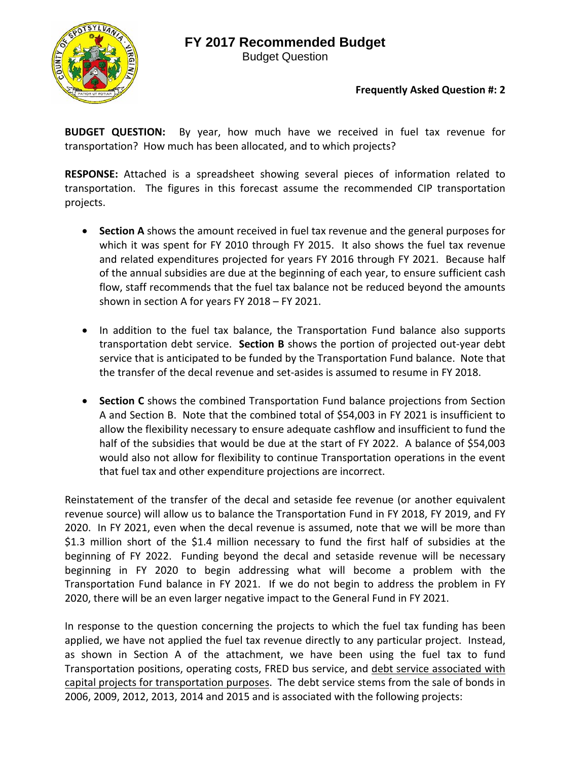# **FY 2017 Recommended Budget**



Budget Question

### **Frequently Asked Question #: 2**

**BUDGET QUESTION:**  By year, how much have we received in fuel tax revenue for transportation? How much has been allocated, and to which projects?

**RESPONSE:** Attached is a spreadsheet showing several pieces of information related to transportation. The figures in this forecast assume the recommended CIP transportation projects.

- **Section A** shows the amount received in fuel tax revenue and the general purposes for which it was spent for FY 2010 through FY 2015. It also shows the fuel tax revenue and related expenditures projected for years FY 2016 through FY 2021. Because half of the annual subsidies are due at the beginning of each year, to ensure sufficient cash flow, staff recommends that the fuel tax balance not be reduced beyond the amounts shown in section A for years FY 2018 – FY 2021.
- In addition to the fuel tax balance, the Transportation Fund balance also supports transportation debt service. **Section B** shows the portion of projected out‐year debt service that is anticipated to be funded by the Transportation Fund balance. Note that the transfer of the decal revenue and set‐asides is assumed to resume in FY 2018.
- **Section C** shows the combined Transportation Fund balance projections from Section A and Section B. Note that the combined total of \$54,003 in FY 2021 is insufficient to allow the flexibility necessary to ensure adequate cashflow and insufficient to fund the half of the subsidies that would be due at the start of FY 2022. A balance of \$54,003 would also not allow for flexibility to continue Transportation operations in the event that fuel tax and other expenditure projections are incorrect.

Reinstatement of the transfer of the decal and setaside fee revenue (or another equivalent revenue source) will allow us to balance the Transportation Fund in FY 2018, FY 2019, and FY 2020. In FY 2021, even when the decal revenue is assumed, note that we will be more than \$1.3 million short of the \$1.4 million necessary to fund the first half of subsidies at the beginning of FY 2022. Funding beyond the decal and setaside revenue will be necessary beginning in FY 2020 to begin addressing what will become a problem with the Transportation Fund balance in FY 2021. If we do not begin to address the problem in FY 2020, there will be an even larger negative impact to the General Fund in FY 2021.

In response to the question concerning the projects to which the fuel tax funding has been applied, we have not applied the fuel tax revenue directly to any particular project. Instead, as shown in Section A of the attachment, we have been using the fuel tax to fund Transportation positions, operating costs, FRED bus service, and debt service associated with capital projects for transportation purposes. The debt service stems from the sale of bonds in 2006, 2009, 2012, 2013, 2014 and 2015 and is associated with the following projects: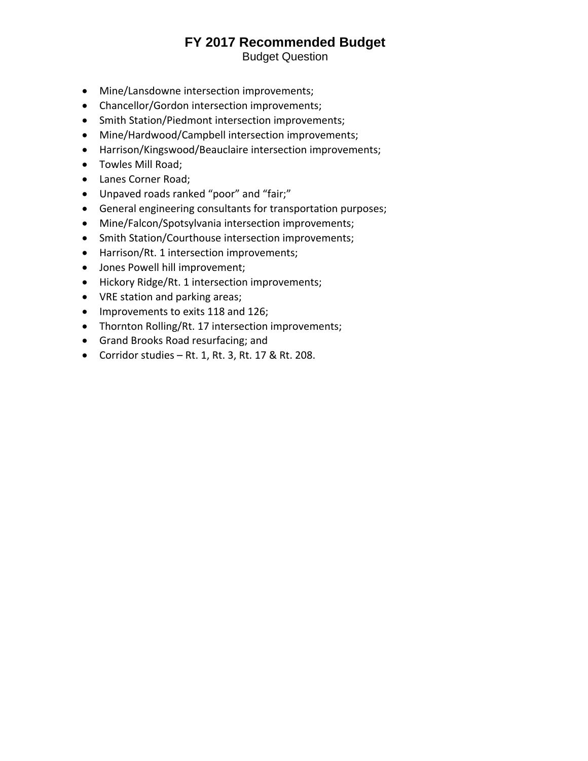## **FY 2017 Recommended Budget**

Budget Question

- Mine/Lansdowne intersection improvements;
- Chancellor/Gordon intersection improvements;
- Smith Station/Piedmont intersection improvements;
- Mine/Hardwood/Campbell intersection improvements;
- Harrison/Kingswood/Beauclaire intersection improvements;
- Towles Mill Road;
- Lanes Corner Road;
- Unpaved roads ranked "poor" and "fair;"
- General engineering consultants for transportation purposes;
- Mine/Falcon/Spotsylvania intersection improvements;
- Smith Station/Courthouse intersection improvements;
- Harrison/Rt. 1 intersection improvements;
- Jones Powell hill improvement;
- Hickory Ridge/Rt. 1 intersection improvements;
- VRE station and parking areas;
- Improvements to exits 118 and 126;
- Thornton Rolling/Rt. 17 intersection improvements;
- Grand Brooks Road resurfacing; and
- Corridor studies Rt. 1, Rt. 3, Rt. 17 & Rt. 208.